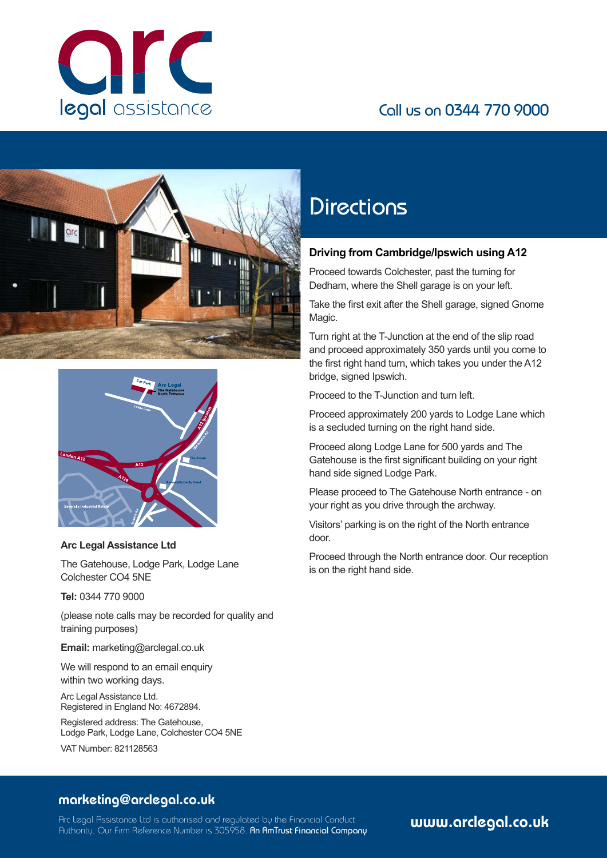

# Call us on 0344 770 9000





#### **Arc Legal Assistance Ltd**

The Gatehouse, Lodge Park, Lodge Lane Colchester CO4 5NE

**Tel:** 0344 770 9000

(please note calls may be recorded for quality and training purposes)

**Email:** marketing@arclegal.co.uk

We will respond to an email enquiry within two working days.

Arc Legal Assistance Ltd. Registered in England No: 4672894.

Registered address: The Gatehouse, Lodge Park, Lodge Lane, Colchester CO4 5NE

VAT Number: 821128563

# **Directions**

### **Driving from Cambridge/Ipswich using A12**

Proceed towards Colchester, past the turning for Dedham, where the Shell garage is on your left.

Take the first exit after the Shell garage, signed Gnome Magic.

Turn right at the T-Junction at the end of the slip road and proceed approximately 350 yards until you come to the first right hand turn, which takes you under the A12 bridge, signed Ipswich.

Proceed to the T-Junction and turn left.

Proceed approximately 200 yards to Lodge Lane which is a secluded turning on the right hand side.

Proceed along Lodge Lane for 500 yards and The Gatehouse is the first significant building on your right hand side signed Lodge Park.

Please proceed to The Gatehouse North entrance - on your right as you drive through the archway.

Visitors' parking is on the right of the North entrance door.

Proceed through the North entrance door. Our reception is on the right hand side.

## marketing@arclegal.co.uk

Arc Legal Assistance Ltd is authorised and regulated by the Financial Conduct Authority. Our Firm Reference Number is 305958. An AmTrust Financial Company www.arclegal.co.uk